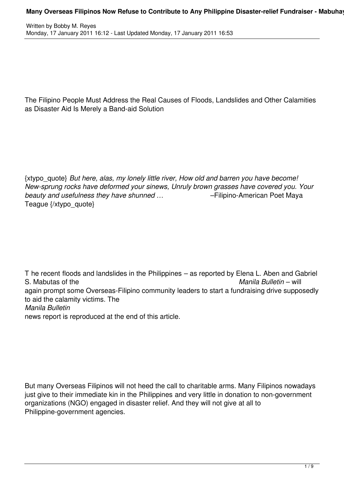The Filipino People Must Address the Real Causes of Floods, Landslides and Other Calamities as Disaster Aid Is Merely a Band-aid Solution

{xtypo\_quote} *But here, alas, my lonely little river, How old and barren you have become! New-sprung rocks have deformed your sinews, Unruly brown grasses have covered you. Your beauty and usefulness they have shunned …* –Filipino-American Poet Maya Teague {/xtypo\_quote}

T he recent floods and landslides in the Philippines – as reported by Elena L. Aben and Gabriel S. Mabutas of the *Manila Bulletin* – will again prompt some Overseas-Filipino community leaders to start a fundraising drive supposedly to aid the calamity victims. The *Manila Bulletin* news report is reproduced at the end of this article.

But many Overseas Filipinos will not heed the call to charitable arms. Many Filipinos nowadays just give to their immediate kin in the Philippines and very little in donation to non-government organizations (NGO) engaged in disaster relief. And they will not give at all to Philippine-government agencies.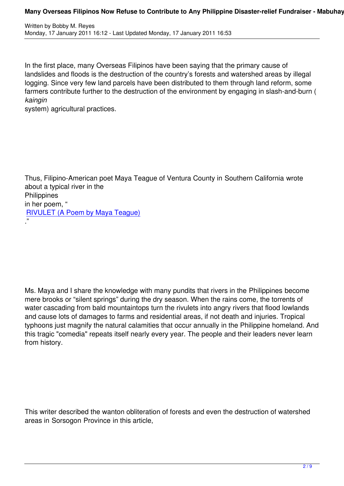In the first place, many Overseas Filipinos have been saying that the primary cause of landslides and floods is the destruction of the country's forests and watershed areas by illegal logging. Since very few land parcels have been distributed to them through land reform, some farmers contribute further to the destruction of the environment by engaging in slash-and-burn ( *kaingin*

system) agricultural practices.

Thus, Filipino-American poet Maya Teague of Ventura County in Southern California wrote about a typical river in the **Philippines** in her poem, " RIVULET (A Poem by Maya Teague) ."

Ms. Maya and I share the knowledge with many pundits that rivers in the Philippines become mere brooks or "silent springs" during the dry season. When the rains come, the torrents of water cascading from bald mountaintops turn the rivulets into angry rivers that flood lowlands and cause lots of damages to farms and residential areas, if not death and injuries. Tropical typhoons just magnify the natural calamities that occur annually in the Philippine homeland. And this tragic "comedia" repeats itself nearly every year. The people and their leaders never learn from history.

This writer described the wanton obliteration of forests and even the destruction of watershed areas in Sorsogon Province in this article,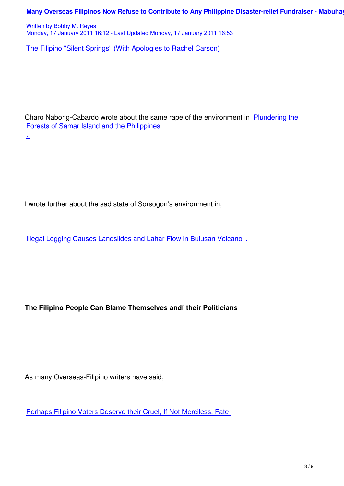Written by Bobby M. Reyes Monday, 17 January 2011 16:12 - Last Updated Monday, 17 January 2011 16:53

The Filipino "Silent Springs" (With Apologies to Rachel Carson)

Charo Nabong-Cabardo wrote about the same rape of the environment in Plundering the Forests of Samar Island and the Philippines

I wrote further about the sad state of Sorsogon's environment in,

.

Illegal Logging Causes Landslides and Lahar Flow in Bulusan Volcano.

The Filipino People Can Blame Themselves and their Politicians

As many Overseas-Filipino writers have said,

Perhaps Filipino Voters Deserve their Cruel, If Not Merciless, Fate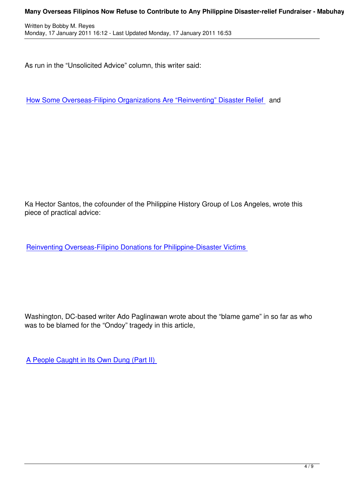As run in the "Unsolicited Advice" column, this writer said:

How Some Overseas-Filipino Organizations Are "Reinventing" Disaster Relief and

Ka Hector Santos, the cofounder of the Philippine History Group of Los Angeles, wrote this piece of practical advice:

Reinventing Overseas-Filipino Donations for Philippine-Disaster Victims

Washington, DC-based writer Ado Paglinawan wrote about the "blame game" in so far as who was to be blamed for the "Ondoy" tragedy in this article,

A People Caught in Its Own Dung (Part II)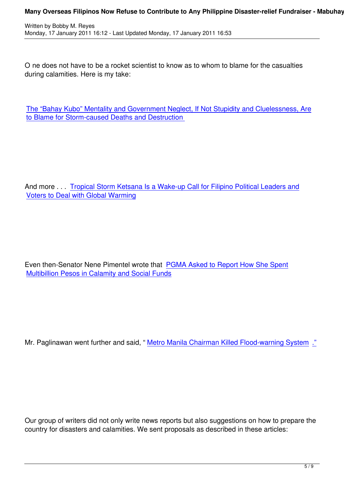O ne does not have to be a rocket scientist to know as to whom to blame for the casualties during calamities. Here is my take:

The "Bahay Kubo" Mentality and Government Neglect, If Not Stupidity and Cluelessness, Are to Blame for Storm-caused Deaths and Destruction

And more . . . Tropical Storm Ketsana Is a Wake-up Call for Filipino Political Leaders and Voters to Deal with Global Warming

Even then-Senator Nene Pimentel wrote that PGMA Asked to Report How She Spent Multibillion Pesos in Calamity and Social Funds

Mr. Paglinawan went further and said, "Metro Manila Chairman Killed Flood-warning System ."

Our group of writers did not only write news reports but also suggestions on how to prepare the country for disasters and calamities. We sent proposals as described in these articles: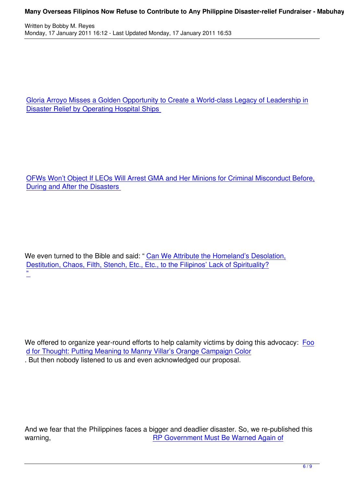Gloria Arroyo Misses a Golden Opportunity to Create a World-class Legacy of Leadership in Disaster Relief by Operating Hospital Ships

OFWs Won't Object If LEOs Will Arrest GMA and Her Minions for Criminal Misconduct Before, During and After the Disasters

We even turned to the Bible and said: " Can We Attribute the Homeland's Desolation, Destitution, Chaos, Filth, Stench, Etc., Etc., to the Filipinos' Lack of Spirituality? "<br>—

We offered to organize year-round efforts to help calamity victims by doing this advocacy: Foo d for Thought: Putting Meaning to Manny Villar's Orange Campaign Color . But then nobody listened to us and even acknowledged our proposal.

And we fear that the Philippines faces a bigger and deadlier disaster. So, we re-published this warning, warning, warning, RP Government Must Be Warned Again of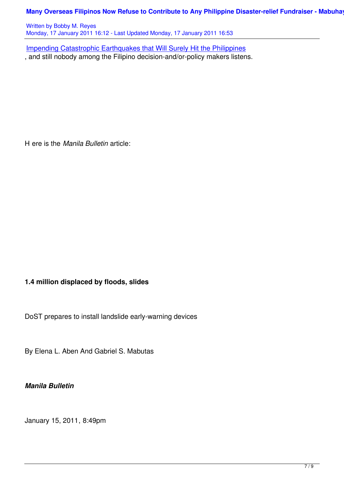Written by Bobby M. Reyes Monday, 17 January 2011 16:12 - Last Updated Monday, 17 January 2011 16:53

Impending Catastrophic Earthquakes that Will Surely Hit the Philippines , and still nobody among the Filipino decision-and/or-policy makers listens.

H ere is the *Manila Bulletin* article:

## **1.4 million displaced by floods, slides**

DoST prepares to install landslide early-warning devices

By Elena L. Aben And Gabriel S. Mabutas

*Manila Bulletin*

January 15, 2011, 8:49pm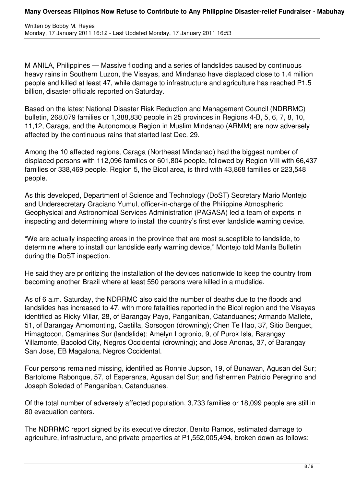M ANILA, Philippines — Massive flooding and a series of landslides caused by continuous heavy rains in Southern Luzon, the Visayas, and Mindanao have displaced close to 1.4 million people and killed at least 47, while damage to infrastructure and agriculture has reached P1.5 billion, disaster officials reported on Saturday.

Based on the latest National Disaster Risk Reduction and Management Council (NDRRMC) bulletin, 268,079 families or 1,388,830 people in 25 provinces in Regions 4-B, 5, 6, 7, 8, 10, 11,12, Caraga, and the Autonomous Region in Muslim Mindanao (ARMM) are now adversely affected by the continuous rains that started last Dec. 29.

Among the 10 affected regions, Caraga (Northeast Mindanao) had the biggest number of displaced persons with 112,096 families or 601,804 people, followed by Region VIII with 66,437 families or 338,469 people. Region 5, the Bicol area, is third with 43,868 families or 223,548 people.

As this developed, Department of Science and Technology (DoST) Secretary Mario Montejo and Undersecretary Graciano Yumul, officer-in-charge of the Philippine Atmospheric Geophysical and Astronomical Services Administration (PAGASA) led a team of experts in inspecting and determining where to install the country's first ever landslide warning device.

"We are actually inspecting areas in the province that are most susceptible to landslide, to determine where to install our landslide early warning device," Montejo told Manila Bulletin during the DoST inspection.

He said they are prioritizing the installation of the devices nationwide to keep the country from becoming another Brazil where at least 550 persons were killed in a mudslide.

As of 6 a.m. Saturday, the NDRRMC also said the number of deaths due to the floods and landslides has increased to 47, with more fatalities reported in the Bicol region and the Visayas identified as Ricky Villar, 28, of Barangay Payo, Panganiban, Catanduanes; Armando Mallete, 51, of Barangay Amomonting, Castilla, Sorsogon (drowning); Chen Te Hao, 37, Sitio Benguet, Himagtocon, Camarines Sur (landslide); Amelyn Logronio, 9, of Purok Isla, Barangay Villamonte, Bacolod City, Negros Occidental (drowning); and Jose Anonas, 37, of Barangay San Jose, EB Magalona, Negros Occidental.

Four persons remained missing, identified as Ronnie Jupson, 19, of Bunawan, Agusan del Sur; Bartolome Rabonque, 57, of Esperanza, Agusan del Sur; and fishermen Patricio Peregrino and Joseph Soledad of Panganiban, Catanduanes.

Of the total number of adversely affected population, 3,733 families or 18,099 people are still in 80 evacuation centers.

The NDRRMC report signed by its executive director, Benito Ramos, estimated damage to agriculture, infrastructure, and private properties at P1,552,005,494, broken down as follows: